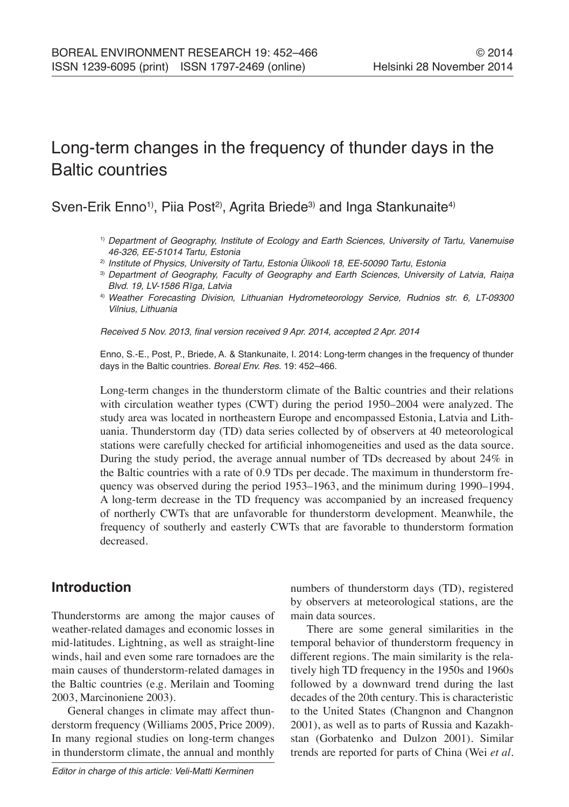# Long-term changes in the frequency of thunder days in the Baltic countries

Sven-Erik Enno<sup>1)</sup>, Piia Post<sup>2)</sup>, Agrita Briede<sup>3)</sup> and Inga Stankunaite<sup>4)</sup>

- 1) *Department of Geography, Institute of Ecology and Earth Sciences, University of Tartu, Vanemuise 46-326, EE-51014 Tartu, Estonia*
- 2) *Institute of Physics, University of Tartu, Estonia Ülikooli 18, EE-50090 Tartu, Estonia*
- <sup>3)</sup> Department of Geography, Faculty of Geography and Earth Sciences, University of Latvia, Raiņa Blvd. 19, LV-1586 Rīga, Latvia
- 4) *Weather Forecasting Division, Lithuanian Hydrometeorology Service, Rudnios str. 6, LT-09300 Vilnius, Lithuania*

Received 5 Nov. 2013, final version received 9 Apr. 2014, accepted 2 Apr. 2014

Enno, S.-E., Post, P., Briede, A. & Stankunaite, I. 2014: Long-term changes in the frequency of thunder days in the Baltic countries. *Boreal Env. Res.* 19: 452–466.

Long-term changes in the thunderstorm climate of the Baltic countries and their relations with circulation weather types (CWT) during the period 1950–2004 were analyzed. The study area was located in northeastern Europe and encompassed Estonia, Latvia and Lithuania. Thunderstorm day (TD) data series collected by of observers at 40 meteorological stations were carefully checked for artificial inhomogeneities and used as the data source. During the study period, the average annual number of TDs decreased by about 24% in the Baltic countries with a rate of 0.9 TDs per decade. The maximum in thunderstorm frequency was observed during the period 1953–1963, and the minimum during 1990–1994. A long-term decrease in the TD frequency was accompanied by an increased frequency of northerly CWTs that are unfavorable for thunderstorm development. Meanwhile, the frequency of southerly and easterly CWTs that are favorable to thunderstorm formation decreased.

# **Introduction**

Thunderstorms are among the major causes of weather-related damages and economic losses in mid-latitudes. Lightning, as well as straight-line winds, hail and even some rare tornadoes are the main causes of thunderstorm-related damages in the Baltic countries (e.g. Merilain and Tooming 2003, Marcinoniene 2003).

General changes in climate may affect thunderstorm frequency (Williams 2005, Price 2009). In many regional studies on long-term changes in thunderstorm climate, the annual and monthly

*Editor in charge of this article: Veli-Matti Kerminen*

numbers of thunderstorm days (TD), registered by observers at meteorological stations, are the main data sources.

There are some general similarities in the temporal behavior of thunderstorm frequency in different regions. The main similarity is the relatively high TD frequency in the 1950s and 1960s followed by a downward trend during the last decades of the 20th century. This is characteristic to the United States (Changnon and Changnon 2001), as well as to parts of Russia and Kazakhstan (Gorbatenko and Dulzon 2001). Similar trends are reported for parts of China (Wei *et al.*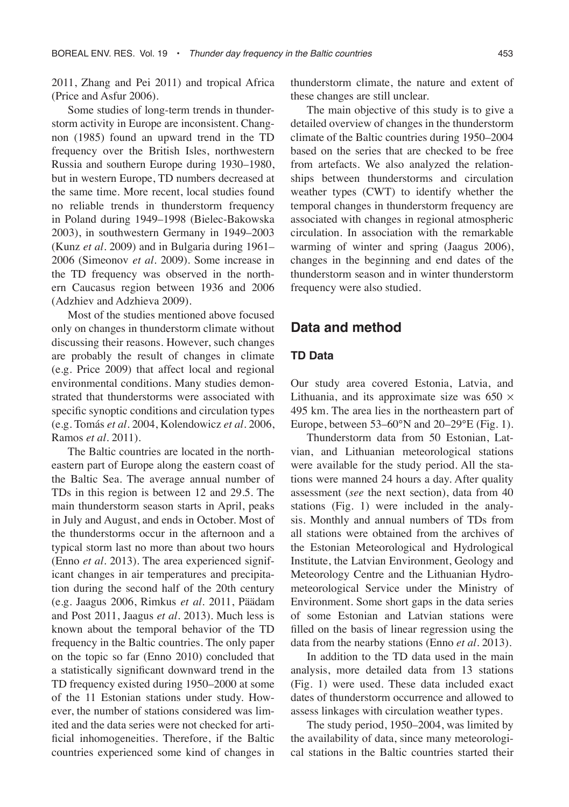2011, Zhang and Pei 2011) and tropical Africa (Price and Asfur 2006).

Some studies of long-term trends in thunderstorm activity in Europe are inconsistent. Changnon (1985) found an upward trend in the TD frequency over the British Isles, northwestern Russia and southern Europe during 1930–1980, but in western Europe, TD numbers decreased at the same time. More recent, local studies found no reliable trends in thunderstorm frequency in Poland during 1949–1998 (Bielec-Bakowska 2003), in southwestern Germany in 1949–2003 (Kunz *et al.* 2009) and in Bulgaria during 1961– 2006 (Simeonov *et al.* 2009). Some increase in the TD frequency was observed in the northern Caucasus region between 1936 and 2006 (Adzhiev and Adzhieva 2009).

Most of the studies mentioned above focused only on changes in thunderstorm climate without discussing their reasons. However, such changes are probably the result of changes in climate (e.g. Price 2009) that affect local and regional environmental conditions. Many studies demonstrated that thunderstorms were associated with specific synoptic conditions and circulation types (e.g. Tomás *et al.* 2004, Kolendowicz *et al.* 2006, Ramos *et al.* 2011).

The Baltic countries are located in the northeastern part of Europe along the eastern coast of the Baltic Sea. The average annual number of TDs in this region is between 12 and 29.5. The main thunderstorm season starts in April, peaks in July and August, and ends in October. Most of the thunderstorms occur in the afternoon and a typical storm last no more than about two hours (Enno *et al.* 2013). The area experienced significant changes in air temperatures and precipitation during the second half of the 20th century (e.g. Jaagus 2006, Rimkus *et al.* 2011, Päädam and Post 2011, Jaagus *et al.* 2013). Much less is known about the temporal behavior of the TD frequency in the Baltic countries. The only paper on the topic so far (Enno 2010) concluded that a statistically significant downward trend in the TD frequency existed during 1950–2000 at some of the 11 Estonian stations under study. However, the number of stations considered was limited and the data series were not checked for artificial inhomogeneities. Therefore, if the Baltic countries experienced some kind of changes in

thunderstorm climate, the nature and extent of these changes are still unclear.

The main objective of this study is to give a detailed overview of changes in the thunderstorm climate of the Baltic countries during 1950–2004 based on the series that are checked to be free from artefacts. We also analyzed the relationships between thunderstorms and circulation weather types (CWT) to identify whether the temporal changes in thunderstorm frequency are associated with changes in regional atmospheric circulation. In association with the remarkable warming of winter and spring (Jaagus 2006), changes in the beginning and end dates of the thunderstorm season and in winter thunderstorm frequency were also studied.

## **Data and method**

### **TD Data**

Our study area covered Estonia, Latvia, and Lithuania, and its approximate size was  $650 \times$ 495 km. The area lies in the northeastern part of Europe, between  $53-60^{\circ}$ N and  $20-29^{\circ}$ E (Fig. 1).

Thunderstorm data from 50 Estonian, Latvian, and Lithuanian meteorological stations were available for the study period. All the stations were manned 24 hours a day. After quality assessment (*see* the next section), data from 40 stations (Fig. 1) were included in the analysis. Monthly and annual numbers of TDs from all stations were obtained from the archives of the Estonian Meteorological and Hydrological Institute, the Latvian Environment, Geology and Meteorology Centre and the Lithuanian Hydrometeorological Service under the Ministry of Environment. Some short gaps in the data series of some Estonian and Latvian stations were filled on the basis of linear regression using the data from the nearby stations (Enno *et al.* 2013).

In addition to the TD data used in the main analysis, more detailed data from 13 stations (Fig. 1) were used. These data included exact dates of thunderstorm occurrence and allowed to assess linkages with circulation weather types.

The study period, 1950–2004, was limited by the availability of data, since many meteorological stations in the Baltic countries started their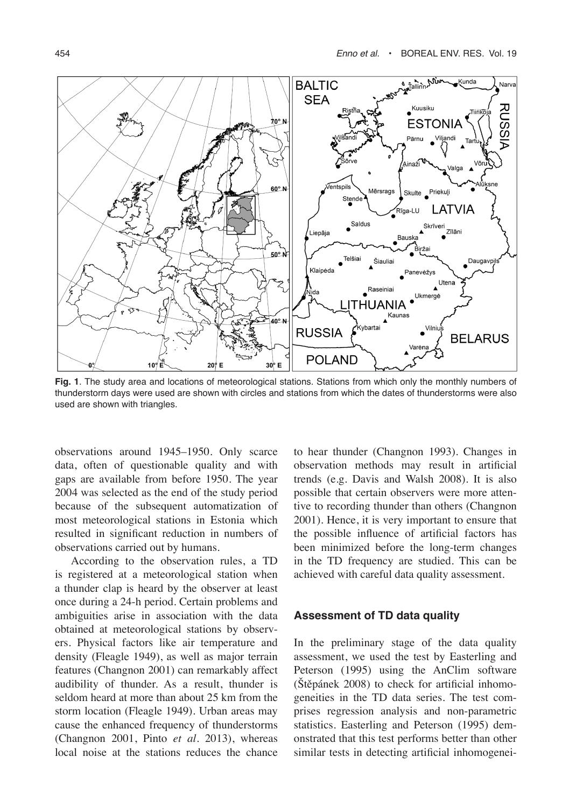

**Fig. 1**. The study area and locations of meteorological stations. Stations from which only the monthly numbers of thunderstorm days were used are shown with circles and stations from which the dates of thunderstorms were also used are shown with triangles.

observations around 1945–1950. Only scarce data, often of questionable quality and with gaps are available from before 1950. The year 2004 was selected as the end of the study period because of the subsequent automatization of most meteorological stations in Estonia which resulted in significant reduction in numbers of observations carried out by humans.

According to the observation rules, a TD is registered at a meteorological station when a thunder clap is heard by the observer at least once during a 24-h period. Certain problems and ambiguities arise in association with the data obtained at meteorological stations by observers. Physical factors like air temperature and density (Fleagle 1949), as well as major terrain features (Changnon 2001) can remarkably affect audibility of thunder. As a result, thunder is seldom heard at more than about 25 km from the storm location (Fleagle 1949). Urban areas may cause the enhanced frequency of thunderstorms (Changnon 2001, Pinto *et al.* 2013), whereas local noise at the stations reduces the chance

to hear thunder (Changnon 1993). Changes in observation methods may result in artificial trends (e.g. Davis and Walsh 2008). It is also possible that certain observers were more attentive to recording thunder than others (Changnon 2001). Hence, it is very important to ensure that the possible influence of artificial factors has been minimized before the long-term changes in the TD frequency are studied. This can be achieved with careful data quality assessment.

#### **Assessment of TD data quality**

In the preliminary stage of the data quality assessment, we used the test by Easterling and Peterson (1995) using the AnClim software (Štěpánek 2008) to check for artificial inhomogeneities in the TD data series. The test comprises regression analysis and non-parametric statistics. Easterling and Peterson (1995) demonstrated that this test performs better than other similar tests in detecting artificial inhomogenei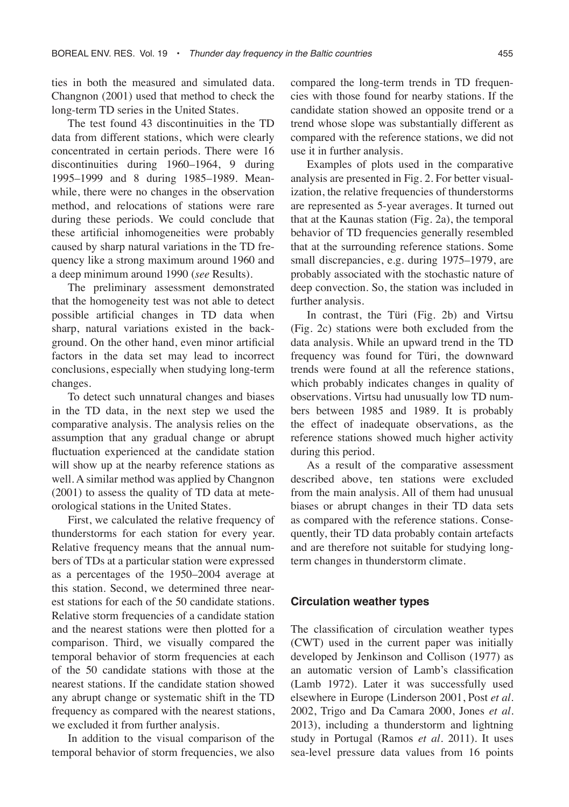ties in both the measured and simulated data. Changnon (2001) used that method to check the long-term TD series in the United States.

The test found 43 discontinuities in the TD data from different stations, which were clearly concentrated in certain periods. There were 16 discontinuities during 1960–1964, 9 during 1995–1999 and 8 during 1985–1989. Meanwhile, there were no changes in the observation method, and relocations of stations were rare during these periods. We could conclude that these artificial inhomogeneities were probably caused by sharp natural variations in the TD frequency like a strong maximum around 1960 and a deep minimum around 1990 (*see* Results).

The preliminary assessment demonstrated that the homogeneity test was not able to detect possible artificial changes in TD data when sharp, natural variations existed in the background. On the other hand, even minor artificial factors in the data set may lead to incorrect conclusions, especially when studying long-term changes.

To detect such unnatural changes and biases in the TD data, in the next step we used the comparative analysis. The analysis relies on the assumption that any gradual change or abrupt fluctuation experienced at the candidate station will show up at the nearby reference stations as well. A similar method was applied by Changnon (2001) to assess the quality of TD data at meteorological stations in the United States.

First, we calculated the relative frequency of thunderstorms for each station for every year. Relative frequency means that the annual numbers of TDs at a particular station were expressed as a percentages of the 1950–2004 average at this station. Second, we determined three nearest stations for each of the 50 candidate stations. Relative storm frequencies of a candidate station and the nearest stations were then plotted for a comparison. Third, we visually compared the temporal behavior of storm frequencies at each of the 50 candidate stations with those at the nearest stations. If the candidate station showed any abrupt change or systematic shift in the TD frequency as compared with the nearest stations, we excluded it from further analysis.

In addition to the visual comparison of the temporal behavior of storm frequencies, we also

compared the long-term trends in TD frequencies with those found for nearby stations. If the candidate station showed an opposite trend or a trend whose slope was substantially different as compared with the reference stations, we did not use it in further analysis.

Examples of plots used in the comparative analysis are presented in Fig. 2. For better visualization, the relative frequencies of thunderstorms are represented as 5-year averages. It turned out that at the Kaunas station (Fig. 2a), the temporal behavior of TD frequencies generally resembled that at the surrounding reference stations. Some small discrepancies, e.g. during 1975–1979, are probably associated with the stochastic nature of deep convection. So, the station was included in further analysis.

In contrast, the Türi (Fig. 2b) and Virtsu (Fig. 2c) stations were both excluded from the data analysis. While an upward trend in the TD frequency was found for Türi, the downward trends were found at all the reference stations, which probably indicates changes in quality of observations. Virtsu had unusually low TD numbers between 1985 and 1989. It is probably the effect of inadequate observations, as the reference stations showed much higher activity during this period.

As a result of the comparative assessment described above, ten stations were excluded from the main analysis. All of them had unusual biases or abrupt changes in their TD data sets as compared with the reference stations. Consequently, their TD data probably contain artefacts and are therefore not suitable for studying longterm changes in thunderstorm climate.

#### **Circulation weather types**

The classification of circulation weather types (CWT) used in the current paper was initially developed by Jenkinson and Collison (1977) as an automatic version of Lamb's classification (Lamb 1972). Later it was successfully used elsewhere in Europe (Linderson 2001, Post *et al.* 2002, Trigo and Da Camara 2000, Jones *et al.* 2013), including a thunderstorm and lightning study in Portugal (Ramos *et al.* 2011). It uses sea-level pressure data values from 16 points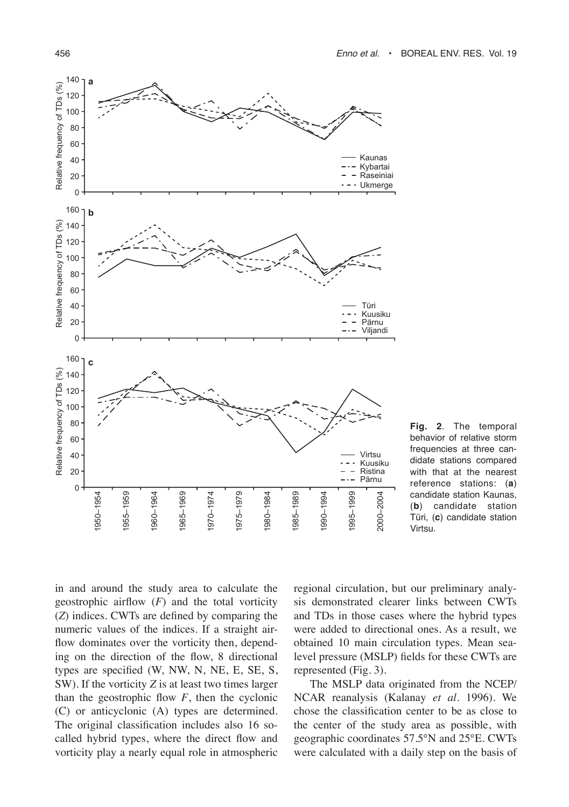

**Fig. 2**. The temporal behavior of relative storm frequencies at three candidate stations compared with that at the nearest reference stations: (**a**) candidate station Kaunas, (**b**) candidate station Türi, (**c**) candidate station Virtsu.

in and around the study area to calculate the geostrophic airflow (*F*) and the total vorticity (*Z*) indices. CWTs are defined by comparing the numeric values of the indices. If a straight airflow dominates over the vorticity then, depending on the direction of the flow, 8 directional types are specified (W, NW, N, NE, E, SE, S, SW). If the vorticity *Z* is at least two times larger than the geostrophic flow  $F$ , then the cyclonic (C) or anticyclonic (A) types are determined. The original classification includes also 16 socalled hybrid types, where the direct flow and vorticity play a nearly equal role in atmospheric

regional circulation, but our preliminary analysis demonstrated clearer links between CWTs and TDs in those cases where the hybrid types were added to directional ones. As a result, we obtained 10 main circulation types. Mean sealevel pressure (MSLP) fields for these CWTs are represented (Fig. 3).

The MSLP data originated from the NCEP/ NCAR reanalysis (Kalanay *et al.* 1996). We chose the classification center to be as close to the center of the study area as possible, with geographic coordinates 57.5°N and 25°E. CWTs were calculated with a daily step on the basis of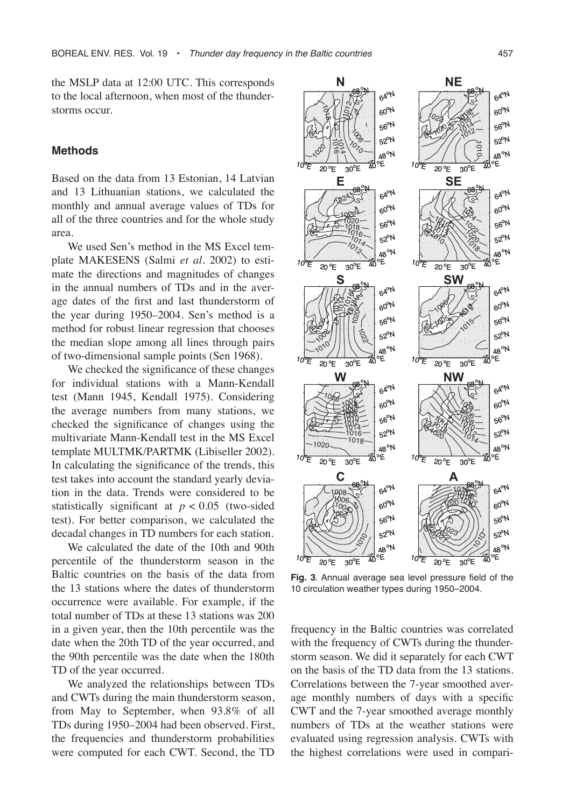the MSLP data at 12:00 UTC. This corresponds to the local afternoon, when most of the thunderstorms occur.

#### **Methods**

Based on the data from 13 Estonian, 14 Latvian and 13 Lithuanian stations, we calculated the monthly and annual average values of TDs for all of the three countries and for the whole study area.

We used Sen's method in the MS Excel template MAKESENS (Salmi *et al.* 2002) to estimate the directions and magnitudes of changes in the annual numbers of TDs and in the average dates of the first and last thunderstorm of the year during 1950–2004. Sen's method is a method for robust linear regression that chooses the median slope among all lines through pairs of two-dimensional sample points (Sen 1968).

We checked the significance of these changes for individual stations with a Mann-Kendall test (Mann 1945, Kendall 1975). Considering the average numbers from many stations, we checked the significance of changes using the multivariate Mann-Kendall test in the MS Excel template MULTMK/PARTMK (Libiseller 2002). In calculating the significance of the trends, this test takes into account the standard yearly deviation in the data. Trends were considered to be statistically significant at  $p < 0.05$  (two-sided test). For better comparison, we calculated the decadal changes in TD numbers for each station.

We calculated the date of the 10th and 90th percentile of the thunderstorm season in the Baltic countries on the basis of the data from the 13 stations where the dates of thunderstorm occurrence were available. For example, if the total number of TDs at these 13 stations was 200 in a given year, then the 10th percentile was the date when the 20th TD of the year occurred, and the 90th percentile was the date when the 180th TD of the year occurred.

We analyzed the relationships between TDs and CWTs during the main thunderstorm season, from May to September, when 93.8% of all TDs during 1950–2004 had been observed. First, the frequencies and thunderstorm probabilities were computed for each CWT. Second, the TD



**Fig. 3**. Annual average sea level pressure field of the 10 circulation weather types during 1950–2004.

frequency in the Baltic countries was correlated with the frequency of CWTs during the thunderstorm season. We did it separately for each CWT on the basis of the TD data from the 13 stations. Correlations between the 7-year smoothed average monthly numbers of days with a specific CWT and the 7-year smoothed average monthly numbers of TDs at the weather stations were evaluated using regression analysis. CWTs with the highest correlations were used in compari-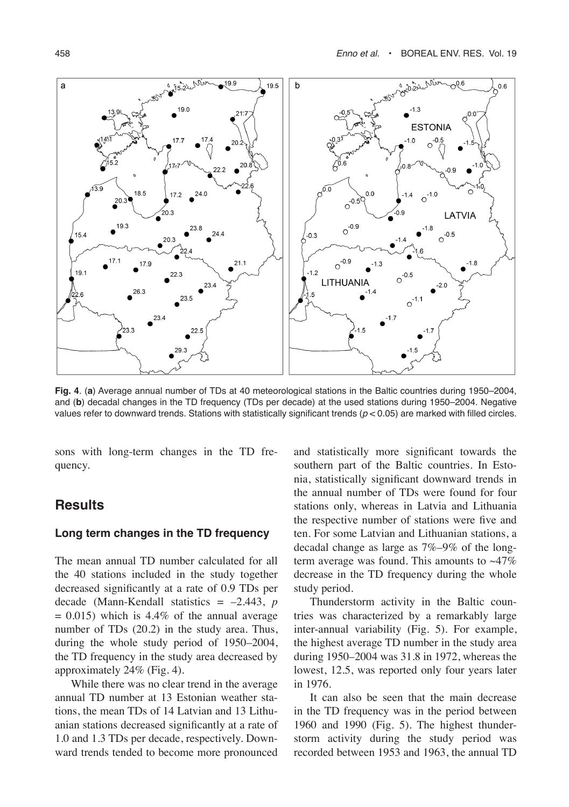

**Fig. 4**. (**a**) Average annual number of TDs at 40 meteorological stations in the Baltic countries during 1950–2004, and (**b**) decadal changes in the TD frequency (TDs per decade) at the used stations during 1950–2004. Negative values refer to downward trends. Stations with statistically significant trends (*p* < 0.05) are marked with filled circles.

sons with long-term changes in the TD frequency.

## **Results**

### **Long term changes in the TD frequency**

The mean annual TD number calculated for all the 40 stations included in the study together decreased significantly at a rate of 0.9 TDs per decade (Mann-Kendall statistics = –2.443, *p*  $= 0.015$ ) which is 4.4% of the annual average number of TDs (20.2) in the study area. Thus, during the whole study period of 1950–2004, the TD frequency in the study area decreased by approximately 24% (Fig. 4).

While there was no clear trend in the average annual TD number at 13 Estonian weather stations, the mean TDs of 14 Latvian and 13 Lithuanian stations decreased significantly at a rate of 1.0 and 1.3 TDs per decade, respectively. Downward trends tended to become more pronounced

and statistically more significant towards the southern part of the Baltic countries. In Estonia, statistically significant downward trends in the annual number of TDs were found for four stations only, whereas in Latvia and Lithuania the respective number of stations were five and ten. For some Latvian and Lithuanian stations, a decadal change as large as 7%–9% of the longterm average was found. This amounts to  $~17\%$ decrease in the TD frequency during the whole study period.

Thunderstorm activity in the Baltic countries was characterized by a remarkably large inter-annual variability (Fig. 5). For example, the highest average TD number in the study area during 1950–2004 was 31.8 in 1972, whereas the lowest, 12.5, was reported only four years later in 1976.

It can also be seen that the main decrease in the TD frequency was in the period between 1960 and 1990 (Fig. 5). The highest thunderstorm activity during the study period was recorded between 1953 and 1963, the annual TD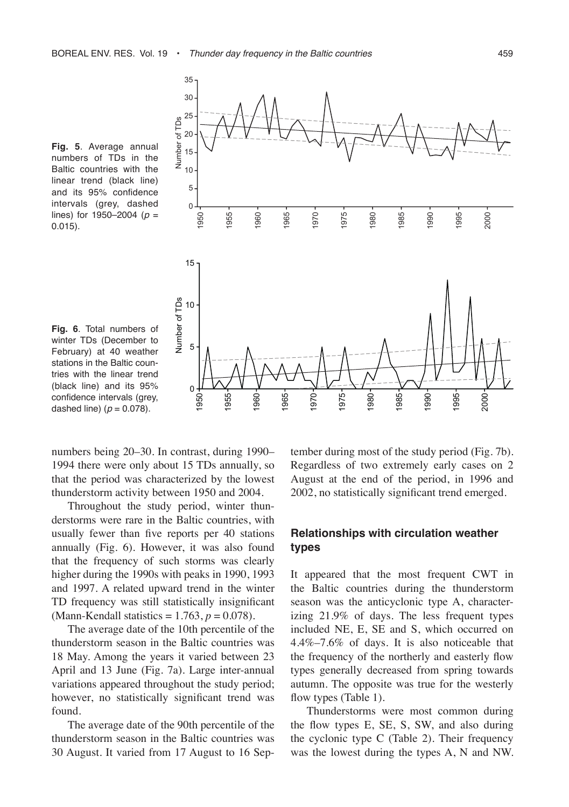

**Fig. 5**. Average annual numbers of TDs in the Baltic countries with the linear trend (black line) and its 95% confidence intervals (grey, dashed lines) for 1950–2004 (*p* = 0.015).



numbers being 20–30. In contrast, during 1990– 1994 there were only about 15 TDs annually, so that the period was characterized by the lowest thunderstorm activity between 1950 and 2004.

Throughout the study period, winter thunderstorms were rare in the Baltic countries, with usually fewer than five reports per 40 stations annually (Fig. 6). However, it was also found that the frequency of such storms was clearly higher during the 1990s with peaks in 1990, 1993 and 1997. A related upward trend in the winter TD frequency was still statistically insignificant (Mann-Kendall statistics  $= 1.763, p = 0.078$ ).

The average date of the 10th percentile of the thunderstorm season in the Baltic countries was 18 May. Among the years it varied between 23 April and 13 June (Fig. 7a). Large inter-annual variations appeared throughout the study period; however, no statistically significant trend was found.

The average date of the 90th percentile of the thunderstorm season in the Baltic countries was 30 August. It varied from 17 August to 16 September during most of the study period (Fig. 7b). Regardless of two extremely early cases on 2 August at the end of the period, in 1996 and 2002, no statistically significant trend emerged.

### **Relationships with circulation weather types**

It appeared that the most frequent CWT in the Baltic countries during the thunderstorm season was the anticyclonic type A, characterizing 21.9% of days. The less frequent types included NE, E, SE and S, which occurred on 4.4%–7.6% of days. It is also noticeable that the frequency of the northerly and easterly flow types generally decreased from spring towards autumn. The opposite was true for the westerly flow types (Table 1).

Thunderstorms were most common during the flow types E, SE, S, SW, and also during the cyclonic type C (Table 2). Their frequency was the lowest during the types A, N and NW.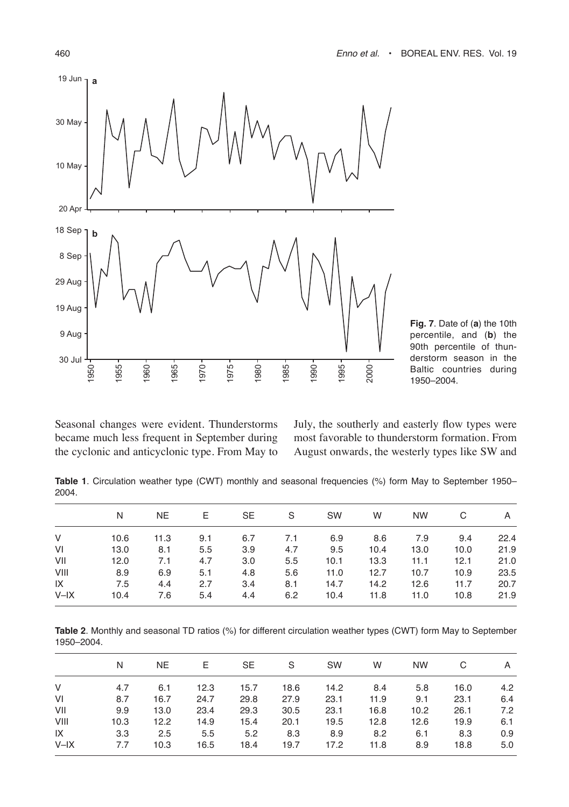

**Fig. 7**. Date of (**a**) the 10th percentile, and (**b**) the 90th percentile of thunderstorm season in the Baltic countries during 1950–2004.

Seasonal changes were evident. Thunderstorms became much less frequent in September during the cyclonic and anticyclonic type. From May to July, the southerly and easterly flow types were most favorable to thunderstorm formation. From August onwards, the westerly types like SW and

**Table 1**. Circulation weather type (CWT) monthly and seasonal frequencies (%) form May to September 1950– 2004.

|        | N    | NE.  | E.  | <b>SE</b> | - S | SW   | W    | <b>NW</b> | C    | A    |  |
|--------|------|------|-----|-----------|-----|------|------|-----------|------|------|--|
| V      | 10.6 | 11.3 | 9.1 | 6.7       | 7.1 | 6.9  | 8.6  | 7.9       | 9.4  | 22.4 |  |
| VI     | 13.0 | 8.1  | 5.5 | 3.9       | 4.7 | 9.5  | 10.4 | 13.0      | 10.0 | 21.9 |  |
| VII    | 12.0 | 7.1  | 4.7 | 3.0       | 5.5 | 10.1 | 13.3 | 11.1      | 12.1 | 21.0 |  |
| VIII   | 8.9  | 6.9  | 5.1 | 4.8       | 5.6 | 11.0 | 12.7 | 10.7      | 10.9 | 23.5 |  |
| IX     | 7.5  | 4.4  | 2.7 | 3.4       | 8.1 | 14.7 | 14.2 | 12.6      | 11.7 | 20.7 |  |
| $V-IX$ | 10.4 | 7.6  | 5.4 | 4.4       | 6.2 | 10.4 | 11.8 | 11.0      | 10.8 | 21.9 |  |

**Table 2**. Monthly and seasonal TD ratios (%) for different circulation weather types (CWT) form May to September 1950–2004.

|           | N    | NE.  | $E =$ | SE   | S S  | SW   | W    | NW .              | C.   | A   |
|-----------|------|------|-------|------|------|------|------|-------------------|------|-----|
| V         | 4.7  | 6.1  | 12.3  | 15.7 | 18.6 | 14.2 | 8.4  | 5.8               | 16.0 | 4.2 |
| VI        | 8.7  | 16.7 | 24.7  | 29.8 | 27.9 | 23.1 | 11.9 | 9.1               | 23.1 | 6.4 |
| VII       | 9.9  | 13.0 | 23.4  | 29.3 | 30.5 | 23.1 | 16.8 | 10.2 <sub>1</sub> | 26.1 | 7.2 |
| VIII      | 10.3 | 12.2 | 14.9  | 15.4 | 20.1 | 19.5 | 12.8 | 12.6              | 19.9 | 6.1 |
| IX        | 3.3  | 2.5  | 5.5   | 5.2  | 8.3  | 8.9  | 8.2  | 6.1               | 8.3  | 0.9 |
| $V - I X$ | 7.7  | 10.3 | 16.5  | 18.4 | 19.7 | 17.2 | 11.8 | 8.9               | 18.8 | 5.0 |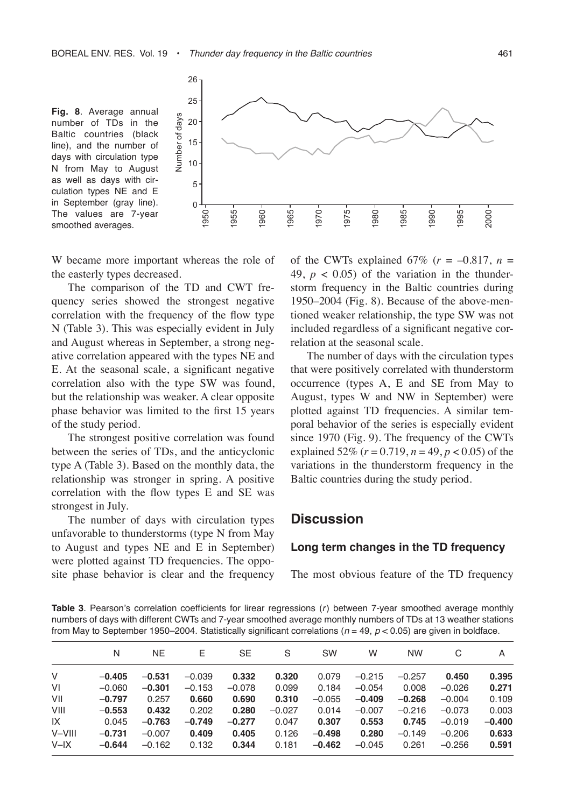

W became more important whereas the role of the easterly types decreased.

The comparison of the TD and CWT frequency series showed the strongest negative correlation with the frequency of the flow type N (Table 3). This was especially evident in July and August whereas in September, a strong negative correlation appeared with the types NE and E. At the seasonal scale, a significant negative correlation also with the type SW was found, but the relationship was weaker. A clear opposite phase behavior was limited to the first 15 years of the study period.

The strongest positive correlation was found between the series of TDs, and the anticyclonic type A (Table 3). Based on the monthly data, the relationship was stronger in spring. A positive correlation with the flow types E and SE was strongest in July.

The number of days with circulation types unfavorable to thunderstorms (type N from May to August and types NE and E in September) were plotted against TD frequencies. The opposite phase behavior is clear and the frequency of the CWTs explained  $67\%$  ( $r = -0.817$ ,  $n =$ 49,  $p < 0.05$ ) of the variation in the thunderstorm frequency in the Baltic countries during 1950–2004 (Fig. 8). Because of the above-mentioned weaker relationship, the type SW was not included regardless of a significant negative correlation at the seasonal scale.

The number of days with the circulation types that were positively correlated with thunderstorm occurrence (types A, E and SE from May to August, types W and NW in September) were plotted against TD frequencies. A similar temporal behavior of the series is especially evident since 1970 (Fig. 9). The frequency of the CWTs explained 52% (*r* = 0.719, *n* = 49, *p* < 0.05) of the variations in the thunderstorm frequency in the Baltic countries during the study period.

#### **Discussion**

#### **Long term changes in the TD frequency**

The most obvious feature of the TD frequency

**Table 3**. Pearson's correlation coefficients for lirear regressions (*r*) between 7-year smoothed average monthly numbers of days with different CWTs and 7-year smoothed average monthly numbers of TDs at 13 weather stations from May to September 1950–2004. Statistically significant correlations (*n* = 49, *p* < 0.05) are given in boldface.

|        | N        | NE.      | Ε        | SE       | S        | <b>SW</b> | W        | <b>NW</b> | C        | A        |
|--------|----------|----------|----------|----------|----------|-----------|----------|-----------|----------|----------|
| V      | $-0.405$ | $-0.531$ | $-0.039$ | 0.332    | 0.320    | 0.079     | $-0.215$ | $-0.257$  | 0.450    | 0.395    |
| VI     | $-0.060$ | $-0.301$ | $-0.153$ | $-0.078$ | 0.099    | 0.184     | $-0.054$ | 0.008     | $-0.026$ | 0.271    |
| VII    | $-0.797$ | 0.257    | 0.660    | 0.690    | 0.310    | $-0.055$  | $-0.409$ | $-0.268$  | $-0.004$ | 0.109    |
| VIII   | $-0.553$ | 0.432    | 0.202    | 0.280    | $-0.027$ | 0.014     | $-0.007$ | $-0.216$  | $-0.073$ | 0.003    |
| IX     | 0.045    | $-0.763$ | $-0.749$ | $-0.277$ | 0.047    | 0.307     | 0.553    | 0.745     | $-0.019$ | $-0.400$ |
| V-VIII | $-0.731$ | $-0.007$ | 0.409    | 0.405    | 0.126    | $-0.498$  | 0.280    | $-0.149$  | $-0.206$ | 0.633    |
| $V-IX$ | $-0.644$ | $-0.162$ | 0.132    | 0.344    | 0.181    | $-0.462$  | $-0.045$ | 0.261     | $-0.256$ | 0.591    |
|        |          |          |          |          |          |           |          |           |          |          |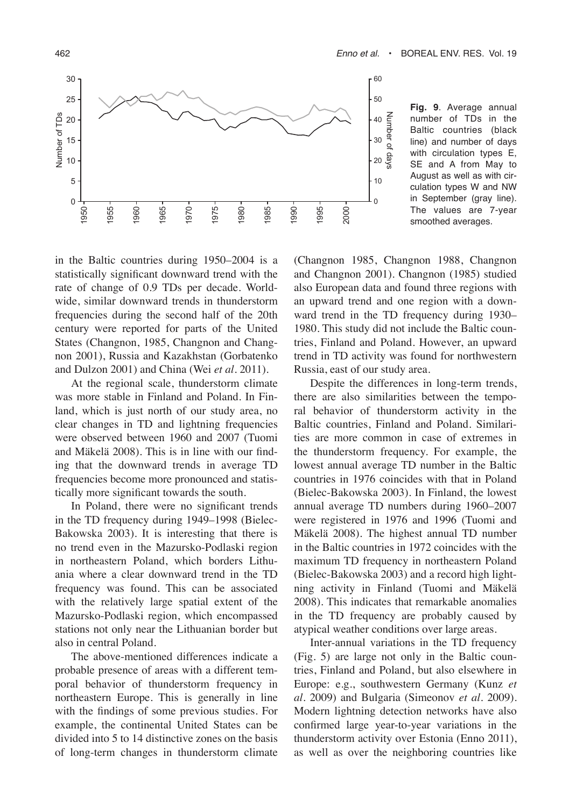

**Fig. 9**. Average annual number of TDs in the Baltic countries (black line) and number of days with circulation types E, SE and A from May to August as well as with circulation types W and NW in September (gray line). The values are 7-year smoothed averages.

in the Baltic countries during 1950–2004 is a statistically significant downward trend with the rate of change of 0.9 TDs per decade. Worldwide, similar downward trends in thunderstorm frequencies during the second half of the 20th century were reported for parts of the United States (Changnon, 1985, Changnon and Changnon 2001), Russia and Kazakhstan (Gorbatenko and Dulzon 2001) and China (Wei *et al.* 2011).

At the regional scale, thunderstorm climate was more stable in Finland and Poland. In Finland, which is just north of our study area, no clear changes in TD and lightning frequencies were observed between 1960 and 2007 (Tuomi and Mäkelä 2008). This is in line with our finding that the downward trends in average TD frequencies become more pronounced and statistically more significant towards the south.

In Poland, there were no significant trends in the TD frequency during 1949–1998 (Bielec-Bakowska 2003). It is interesting that there is no trend even in the Mazursko-Podlaski region in northeastern Poland, which borders Lithuania where a clear downward trend in the TD frequency was found. This can be associated with the relatively large spatial extent of the Mazursko-Podlaski region, which encompassed stations not only near the Lithuanian border but also in central Poland.

The above-mentioned differences indicate a probable presence of areas with a different temporal behavior of thunderstorm frequency in northeastern Europe. This is generally in line with the findings of some previous studies. For example, the continental United States can be divided into 5 to 14 distinctive zones on the basis of long-term changes in thunderstorm climate (Changnon 1985, Changnon 1988, Changnon and Changnon 2001). Changnon (1985) studied also European data and found three regions with an upward trend and one region with a downward trend in the TD frequency during 1930– 1980. This study did not include the Baltic countries, Finland and Poland. However, an upward trend in TD activity was found for northwestern Russia, east of our study area.

Despite the differences in long-term trends, there are also similarities between the temporal behavior of thunderstorm activity in the Baltic countries, Finland and Poland. Similarities are more common in case of extremes in the thunderstorm frequency. For example, the lowest annual average TD number in the Baltic countries in 1976 coincides with that in Poland (Bielec-Bakowska 2003). In Finland, the lowest annual average TD numbers during 1960–2007 were registered in 1976 and 1996 (Tuomi and Mäkelä 2008). The highest annual TD number in the Baltic countries in 1972 coincides with the maximum TD frequency in northeastern Poland (Bielec-Bakowska 2003) and a record high lightning activity in Finland (Tuomi and Mäkelä 2008). This indicates that remarkable anomalies in the TD frequency are probably caused by atypical weather conditions over large areas.

Inter-annual variations in the TD frequency (Fig. 5) are large not only in the Baltic countries, Finland and Poland, but also elsewhere in Europe: e.g., southwestern Germany (Kunz *et al.* 2009) and Bulgaria (Simeonov *et al.* 2009). Modern lightning detection networks have also confirmed large year-to-year variations in the thunderstorm activity over Estonia (Enno 2011), as well as over the neighboring countries like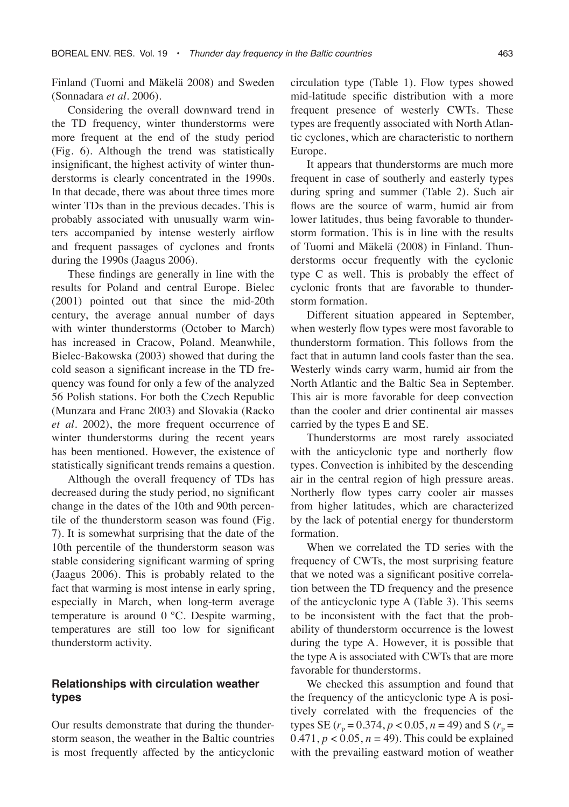Finland (Tuomi and Mäkelä 2008) and Sweden (Sonnadara *et al.* 2006).

Considering the overall downward trend in the TD frequency, winter thunderstorms were more frequent at the end of the study period (Fig. 6). Although the trend was statistically insignificant, the highest activity of winter thunderstorms is clearly concentrated in the 1990s. In that decade, there was about three times more winter TDs than in the previous decades. This is probably associated with unusually warm winters accompanied by intense westerly airflow and frequent passages of cyclones and fronts during the 1990s (Jaagus 2006).

These findings are generally in line with the results for Poland and central Europe. Bielec (2001) pointed out that since the mid-20th century, the average annual number of days with winter thunderstorms (October to March) has increased in Cracow, Poland. Meanwhile, Bielec-Bakowska (2003) showed that during the cold season a significant increase in the TD frequency was found for only a few of the analyzed 56 Polish stations. For both the Czech Republic (Munzara and Franc 2003) and Slovakia (Racko *et al.* 2002), the more frequent occurrence of winter thunderstorms during the recent years has been mentioned. However, the existence of statistically significant trends remains a question.

Although the overall frequency of TDs has decreased during the study period, no significant change in the dates of the 10th and 90th percentile of the thunderstorm season was found (Fig. 7). It is somewhat surprising that the date of the 10th percentile of the thunderstorm season was stable considering significant warming of spring (Jaagus 2006). This is probably related to the fact that warming is most intense in early spring, especially in March, when long-term average temperature is around 0 °C. Despite warming, temperatures are still too low for significant thunderstorm activity.

#### **Relationships with circulation weather types**

Our results demonstrate that during the thunderstorm season, the weather in the Baltic countries is most frequently affected by the anticyclonic

circulation type (Table 1). Flow types showed mid-latitude specific distribution with a more frequent presence of westerly CWTs. These types are frequently associated with North Atlantic cyclones, which are characteristic to northern Europe.

It appears that thunderstorms are much more frequent in case of southerly and easterly types during spring and summer (Table 2). Such air flows are the source of warm, humid air from lower latitudes, thus being favorable to thunderstorm formation. This is in line with the results of Tuomi and Mäkelä (2008) in Finland. Thunderstorms occur frequently with the cyclonic type C as well. This is probably the effect of cyclonic fronts that are favorable to thunderstorm formation.

Different situation appeared in September, when westerly flow types were most favorable to thunderstorm formation. This follows from the fact that in autumn land cools faster than the sea. Westerly winds carry warm, humid air from the North Atlantic and the Baltic Sea in September. This air is more favorable for deep convection than the cooler and drier continental air masses carried by the types E and SE.

Thunderstorms are most rarely associated with the anticyclonic type and northerly flow types. Convection is inhibited by the descending air in the central region of high pressure areas. Northerly flow types carry cooler air masses from higher latitudes, which are characterized by the lack of potential energy for thunderstorm formation.

When we correlated the TD series with the frequency of CWTs, the most surprising feature that we noted was a significant positive correlation between the TD frequency and the presence of the anticyclonic type A (Table 3). This seems to be inconsistent with the fact that the probability of thunderstorm occurrence is the lowest during the type A. However, it is possible that the type A is associated with CWTs that are more favorable for thunderstorms.

We checked this assumption and found that the frequency of the anticyclonic type A is positively correlated with the frequencies of the types SE ( $r_{\rm p}$  = 0.374,  $p$  < 0.05,  $n$  = 49) and S ( $r_{\rm p}$  = 0.471,  $p < 0.05$ ,  $n = 49$ ). This could be explained with the prevailing eastward motion of weather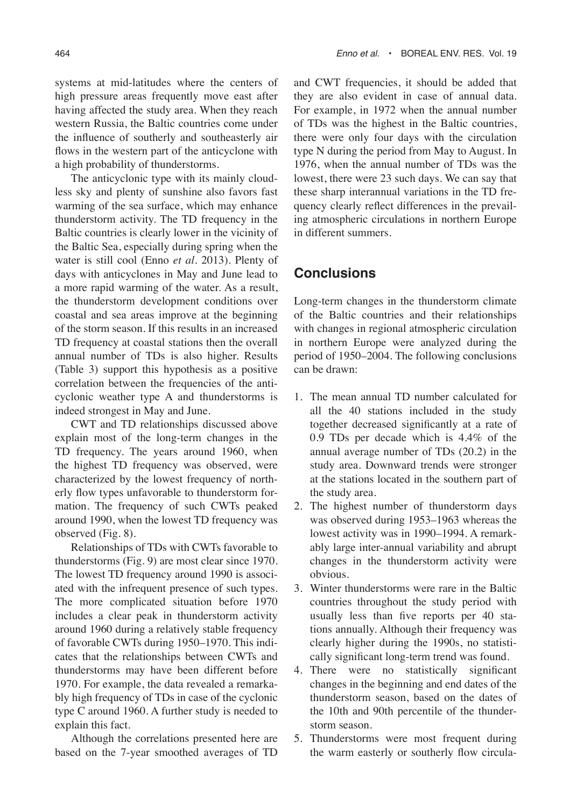systems at mid-latitudes where the centers of high pressure areas frequently move east after having affected the study area. When they reach western Russia, the Baltic countries come under the influence of southerly and southeasterly air flows in the western part of the anticyclone with a high probability of thunderstorms.

The anticyclonic type with its mainly cloudless sky and plenty of sunshine also favors fast warming of the sea surface, which may enhance thunderstorm activity. The TD frequency in the Baltic countries is clearly lower in the vicinity of the Baltic Sea, especially during spring when the water is still cool (Enno *et al.* 2013). Plenty of days with anticyclones in May and June lead to a more rapid warming of the water. As a result, the thunderstorm development conditions over coastal and sea areas improve at the beginning of the storm season. If this results in an increased TD frequency at coastal stations then the overall annual number of TDs is also higher. Results (Table 3) support this hypothesis as a positive correlation between the frequencies of the anticyclonic weather type A and thunderstorms is indeed strongest in May and June.

CWT and TD relationships discussed above explain most of the long-term changes in the TD frequency. The years around 1960, when the highest TD frequency was observed, were characterized by the lowest frequency of northerly flow types unfavorable to thunderstorm formation. The frequency of such CWTs peaked around 1990, when the lowest TD frequency was observed (Fig. 8).

Relationships of TDs with CWTs favorable to thunderstorms (Fig. 9) are most clear since 1970. The lowest TD frequency around 1990 is associated with the infrequent presence of such types. The more complicated situation before 1970 includes a clear peak in thunderstorm activity around 1960 during a relatively stable frequency of favorable CWTs during 1950–1970. This indicates that the relationships between CWTs and thunderstorms may have been different before 1970. For example, the data revealed a remarkably high frequency of TDs in case of the cyclonic type C around 1960. A further study is needed to explain this fact.

Although the correlations presented here are based on the 7-year smoothed averages of TD and CWT frequencies, it should be added that they are also evident in case of annual data. For example, in 1972 when the annual number of TDs was the highest in the Baltic countries, there were only four days with the circulation type N during the period from May to August. In 1976, when the annual number of TDs was the lowest, there were 23 such days. We can say that these sharp interannual variations in the TD frequency clearly reflect differences in the prevailing atmospheric circulations in northern Europe in different summers.

## **Conclusions**

Long-term changes in the thunderstorm climate of the Baltic countries and their relationships with changes in regional atmospheric circulation in northern Europe were analyzed during the period of 1950–2004. The following conclusions can be drawn:

- 1. The mean annual TD number calculated for all the 40 stations included in the study together decreased significantly at a rate of 0.9 TDs per decade which is 4.4% of the annual average number of TDs (20.2) in the study area. Downward trends were stronger at the stations located in the southern part of the study area.
- 2. The highest number of thunderstorm days was observed during 1953–1963 whereas the lowest activity was in 1990–1994. A remarkably large inter-annual variability and abrupt changes in the thunderstorm activity were obvious.
- 3. Winter thunderstorms were rare in the Baltic countries throughout the study period with usually less than five reports per 40 stations annually. Although their frequency was clearly higher during the 1990s, no statistically significant long-term trend was found.
- 4. There were no statistically significant changes in the beginning and end dates of the thunderstorm season, based on the dates of the 10th and 90th percentile of the thunderstorm season.
- 5. Thunderstorms were most frequent during the warm easterly or southerly flow circula-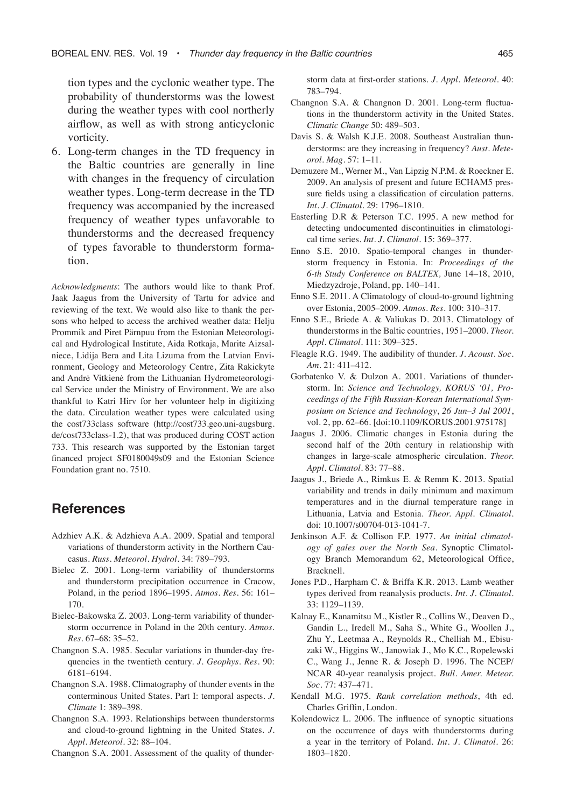tion types and the cyclonic weather type. The probability of thunderstorms was the lowest during the weather types with cool northerly airflow, as well as with strong anticyclonic vorticity.

6. Long-term changes in the TD frequency in the Baltic countries are generally in line with changes in the frequency of circulation weather types. Long-term decrease in the TD frequency was accompanied by the increased frequency of weather types unfavorable to thunderstorms and the decreased frequency of types favorable to thunderstorm formation.

*Acknowledgments*: The authors would like to thank Prof. Jaak Jaagus from the University of Tartu for advice and reviewing of the text. We would also like to thank the persons who helped to access the archived weather data: Helju Prommik and Piret Pärnpuu from the Estonian Meteorological and Hydrological Institute, Aida Rotkaja, Marite Aizsalniece, Lidija Bera and Lita Lizuma from the Latvian Environment, Geology and Meteorology Centre, Zita Rakickyte and Andrė Vitkienė from the Lithuanian Hydrometeorological Service under the Ministry of Environment. We are also thankful to Katri Hirv for her volunteer help in digitizing the data. Circulation weather types were calculated using the cost733class software (http://cost733.geo.uni-augsburg. de/cost733class-1.2), that was produced during COST action 733. This research was supported by the Estonian target financed project SF0180049s09 and the Estonian Science Foundation grant no. 7510.

## **References**

- Adzhiev A.K. & Adzhieva A.A. 2009. Spatial and temporal variations of thunderstorm activity in the Northern Caucasus. *Russ. Meteorol. Hydrol.* 34: 789–793.
- Bielec Z. 2001. Long-term variability of thunderstorms and thunderstorm precipitation occurrence in Cracow, Poland, in the period 1896–1995. *Atmos. Res.* 56: 161– 170.
- Bielec-Bakowska Z. 2003. Long-term variability of thunderstorm occurrence in Poland in the 20th century. *Atmos. Res.* 67–68: 35–52.
- Changnon S.A. 1985. Secular variations in thunder-day frequencies in the twentieth century. *J. Geophys. Res.* 90: 6181–6194.
- Changnon S.A. 1988. Climatography of thunder events in the conterminous United States. Part I: temporal aspects. *J. Climate* 1: 389–398.
- Changnon S.A. 1993. Relationships between thunderstorms and cloud-to-ground lightning in the United States. *J. Appl. Meteorol.* 32: 88–104.

Changnon S.A. 2001. Assessment of the quality of thunder-

storm data at first-order stations. *J. Appl. Meteorol.* 40: 783–794.

- Changnon S.A. & Changnon D. 2001. Long-term fluctuations in the thunderstorm activity in the United States. *Climatic Change* 50: 489–503.
- Davis S. & Walsh K.J.E. 2008. Southeast Australian thunderstorms: are they increasing in frequency? *Aust. Meteorol. Mag.* 57: 1–11.
- Demuzere M., Werner M., Van Lipzig N.P.M. & Roeckner E. 2009. An analysis of present and future ECHAM5 pressure fields using a classification of circulation patterns. *Int. J. Climatol.* 29: 1796–1810.
- Easterling D.R & Peterson T.C. 1995. A new method for detecting undocumented discontinuities in climatological time series. *Int. J. Climatol.* 15: 369–377.
- Enno S.E. 2010. Spatio-temporal changes in thunderstorm frequency in Estonia. In: *Proceedings of the 6-th Study Conference on BALTEX,* June 14–18, 2010, Miedzyzdroje, Poland, pp. 140–141.
- Enno S.E. 2011. A Climatology of cloud-to-ground lightning over Estonia, 2005–2009. *Atmos. Res.* 100: 310–317.
- Enno S.E., Briede A. & Valiukas D. 2013. Climatology of thunderstorms in the Baltic countries, 1951–2000. *Theor. Appl. Climatol.* 111: 309–325.
- Fleagle R.G. 1949. The audibility of thunder. *J. Acoust. Soc. Am.* 21: 411–412.
- Gorbatenko V. & Dulzon A. 2001. Variations of thunderstorm. In: *Science and Technology, KORUS '01, Proceedings of the Fifth Russian-Korean International Symposium on Science and Technology*, *26 Jun–3 Jul 2001*, vol. 2, pp. 62–66. [doi:10.1109/KORUS.2001.975178]
- Jaagus J. 2006. Climatic changes in Estonia during the second half of the 20th century in relationship with changes in large-scale atmospheric circulation. *Theor. Appl. Climatol.* 83: 77–88.
- Jaagus J., Briede A., Rimkus E. & Remm K. 2013. Spatial variability and trends in daily minimum and maximum temperatures and in the diurnal temperature range in Lithuania, Latvia and Estonia. *Theor. Appl. Climatol.* doi: 10.1007/s00704-013-1041-7.
- Jenkinson A.F. & Collison F.P. 1977. *An initial climatology of gales over the North Sea*. Synoptic Climatology Branch Memorandum 62, Meteorological Office, Bracknell.
- Jones P.D., Harpham C. & Briffa K.R. 2013. Lamb weather types derived from reanalysis products. *Int. J. Climatol.* 33: 1129–1139.
- Kalnay E., Kanamitsu M., Kistler R., Collins W., Deaven D., Gandin L., Iredell M., Saha S., White G., Woollen J., Zhu Y., Leetmaa A., Reynolds R., Chelliah M., Ebisuzaki W., Higgins W., Janowiak J., Mo K.C., Ropelewski C., Wang J., Jenne R. & Joseph D. 1996. The NCEP/ NCAR 40-year reanalysis project. *Bull. Amer. Meteor. Soc.* 77: 437–471.
- Kendall M.G. 1975. *Rank correlation methods*, 4th ed. Charles Griffin, London.
- Kolendowicz L. 2006. The influence of synoptic situations on the occurrence of days with thunderstorms during a year in the territory of Poland. *Int. J. Climatol.* 26: 1803–1820.